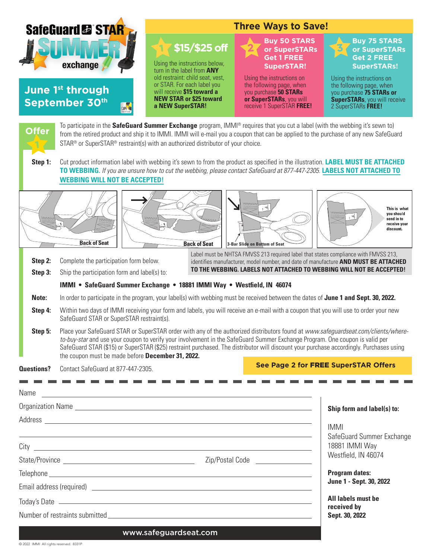| <b>SafeGuard &amp; STAR</b> |                                                                                                                                                                                                                                                                                                                                                                                                                                                                    | <b>Three Ways to Save!</b>                                                                                                                                                                                                                                                                                                                                                                                                                                                                                                                                                                                                                     |                                                                                                                                                                                                                                                    |                                                                                                                                                                                                                                    |
|-----------------------------|--------------------------------------------------------------------------------------------------------------------------------------------------------------------------------------------------------------------------------------------------------------------------------------------------------------------------------------------------------------------------------------------------------------------------------------------------------------------|------------------------------------------------------------------------------------------------------------------------------------------------------------------------------------------------------------------------------------------------------------------------------------------------------------------------------------------------------------------------------------------------------------------------------------------------------------------------------------------------------------------------------------------------------------------------------------------------------------------------------------------------|----------------------------------------------------------------------------------------------------------------------------------------------------------------------------------------------------------------------------------------------------|------------------------------------------------------------------------------------------------------------------------------------------------------------------------------------------------------------------------------------|
|                             | exchange<br>June 1 <sup>st</sup> through<br>September 30th<br>CAPE                                                                                                                                                                                                                                                                                                                                                                                                 | \$15/\$25 off<br>Using the instructions below,<br>turn in the label from ANY<br>old restraint: child seat, vest,<br>or STAR. For each label you<br>will receive \$15 toward a<br><b>NEW STAR or \$25 toward</b><br>a NEW SuperSTAR!                                                                                                                                                                                                                                                                                                                                                                                                            | <b>Buy 50 STARS</b><br>or SuperSTARs<br><b>Get 1 FREE</b><br><b>SuperSTAR!</b><br>Using the instructions on<br>the following page, when<br>you purchase 50 STARs<br>or SuperSTARs, you will<br>receive 1 SuperSTAR FREE!                           | <b>Buy 75 STARS</b><br>or SuperSTARs<br><b>Get 2 FREE</b><br><b>SuperSTARs!</b><br>Using the instructions on<br>the following page, when<br>you purchase 75 STARs or<br><b>SuperSTARs</b> , you will receive<br>2 SuperSTARs FREE! |
| <b>Offer</b><br>Step 1:     |                                                                                                                                                                                                                                                                                                                                                                                                                                                                    | To participate in the SafeGuard Summer Exchange program, IMMI® requires that you cut a label (with the webbing it's sewn to)<br>from the retired product and ship it to IMMI. IMMI will e-mail you a coupon that can be applied to the purchase of any new SafeGuard<br>STAR <sup>®</sup> or SuperSTAR <sup>®</sup> restraint(s) with an authorized distributor of your choice.<br>Cut product information label with webbing it's sewn to from the product as specified in the illustration. LABEL MUST BE ATTACHED<br>TO WEBBING. If you are unsure how to cut the webbing, please contact SafeGuard at 877-447-2305. LABELS NOT ATTACHED TO |                                                                                                                                                                                                                                                    |                                                                                                                                                                                                                                    |
|                             | <b>WEBBING WILL NOT BE ACCEPTED!</b><br><b>Back of Seat</b>                                                                                                                                                                                                                                                                                                                                                                                                        | <b>Back of Seat</b>                                                                                                                                                                                                                                                                                                                                                                                                                                                                                                                                                                                                                            | 3-Bar Slide on Bottom of Seat                                                                                                                                                                                                                      | This is what<br>you should<br>send in to<br>receive your<br>discount.                                                                                                                                                              |
| Step 2:<br>Step 3:          | Complete the participation form below.<br>Ship the participation form and label(s) to:                                                                                                                                                                                                                                                                                                                                                                             |                                                                                                                                                                                                                                                                                                                                                                                                                                                                                                                                                                                                                                                | Label must be NHTSA FMVSS 213 required label that states compliance with FMVSS 213,<br>identifies manufacturer, model number, and date of manufacture AND MUST BE ATTACHED<br>TO THE WEBBING. LABELS NOT ATTACHED TO WEBBING WILL NOT BE ACCEPTED! |                                                                                                                                                                                                                                    |
|                             |                                                                                                                                                                                                                                                                                                                                                                                                                                                                    | IMMI • SafeGuard Summer Exchange • 18881 IMMI Way • Westfield, IN 46074                                                                                                                                                                                                                                                                                                                                                                                                                                                                                                                                                                        |                                                                                                                                                                                                                                                    |                                                                                                                                                                                                                                    |
| Note:<br>Step 4:            | SafeGuard STAR or SuperSTAR restraint(s).                                                                                                                                                                                                                                                                                                                                                                                                                          | In order to participate in the program, your label(s) with webbing must be received between the dates of June 1 and Sept. 30, 2022.<br>Within two days of IMMI receiving your form and labels, you will receive an e-mail with a coupon that you will use to order your new                                                                                                                                                                                                                                                                                                                                                                    |                                                                                                                                                                                                                                                    |                                                                                                                                                                                                                                    |
| Step 5:                     | Place your SafeGuard STAR or SuperSTAR order with any of the authorized distributors found at www.safeguardseat.com/clients/where-<br>to-buy-star and use your coupon to verify your involvement in the SafeGuard Summer Exchange Program. One coupon is valid per<br>SafeGuard STAR (\$15) or SuperSTAR (\$25) restraint purchased. The distributor will discount your purchase accordingly. Purchases using<br>the coupon must be made before December 31, 2022. |                                                                                                                                                                                                                                                                                                                                                                                                                                                                                                                                                                                                                                                |                                                                                                                                                                                                                                                    |                                                                                                                                                                                                                                    |
| Questions?                  | Contact SafeGuard at 877-447-2305.                                                                                                                                                                                                                                                                                                                                                                                                                                 |                                                                                                                                                                                                                                                                                                                                                                                                                                                                                                                                                                                                                                                |                                                                                                                                                                                                                                                    | See Page 2 for FREE SuperSTAR Offers                                                                                                                                                                                               |
| Name                        |                                                                                                                                                                                                                                                                                                                                                                                                                                                                    | --------------------------<br><u> 1989 - Johann Stoff, deutscher Stoffen und der Stoffen und der Stoffen und der Stoffen und der Stoffen und der</u>                                                                                                                                                                                                                                                                                                                                                                                                                                                                                           |                                                                                                                                                                                                                                                    |                                                                                                                                                                                                                                    |
|                             |                                                                                                                                                                                                                                                                                                                                                                                                                                                                    | Address and the contract of the contract of the contract of the contract of the contract of the contract of the contract of the contract of the contract of the contract of the contract of the contract of the contract of th                                                                                                                                                                                                                                                                                                                                                                                                                 |                                                                                                                                                                                                                                                    | Ship form and label(s) to:                                                                                                                                                                                                         |
|                             |                                                                                                                                                                                                                                                                                                                                                                                                                                                                    | <u> 1989 - Johann Stoff, amerikansk politiker (* 1908)</u><br>City <u>supplementary and the contract of the contract of the contract of the contract of the contract of the contract of the contract of the contract of the contract of the contract of the contract of the contract of the co</u>                                                                                                                                                                                                                                                                                                                                             |                                                                                                                                                                                                                                                    | <b>IMMI</b><br>SafeGuard Summer Exchange<br>18881 IMMI Way<br>Westfield, IN 46074                                                                                                                                                  |
|                             |                                                                                                                                                                                                                                                                                                                                                                                                                                                                    |                                                                                                                                                                                                                                                                                                                                                                                                                                                                                                                                                                                                                                                |                                                                                                                                                                                                                                                    | <b>Program dates:</b>                                                                                                                                                                                                              |
|                             |                                                                                                                                                                                                                                                                                                                                                                                                                                                                    |                                                                                                                                                                                                                                                                                                                                                                                                                                                                                                                                                                                                                                                |                                                                                                                                                                                                                                                    | June 1 - Sept. 30, 2022                                                                                                                                                                                                            |
|                             |                                                                                                                                                                                                                                                                                                                                                                                                                                                                    |                                                                                                                                                                                                                                                                                                                                                                                                                                                                                                                                                                                                                                                |                                                                                                                                                                                                                                                    | <b>All labels must be</b><br>received by                                                                                                                                                                                           |
|                             |                                                                                                                                                                                                                                                                                                                                                                                                                                                                    |                                                                                                                                                                                                                                                                                                                                                                                                                                                                                                                                                                                                                                                |                                                                                                                                                                                                                                                    | Sept. 30, 2022                                                                                                                                                                                                                     |